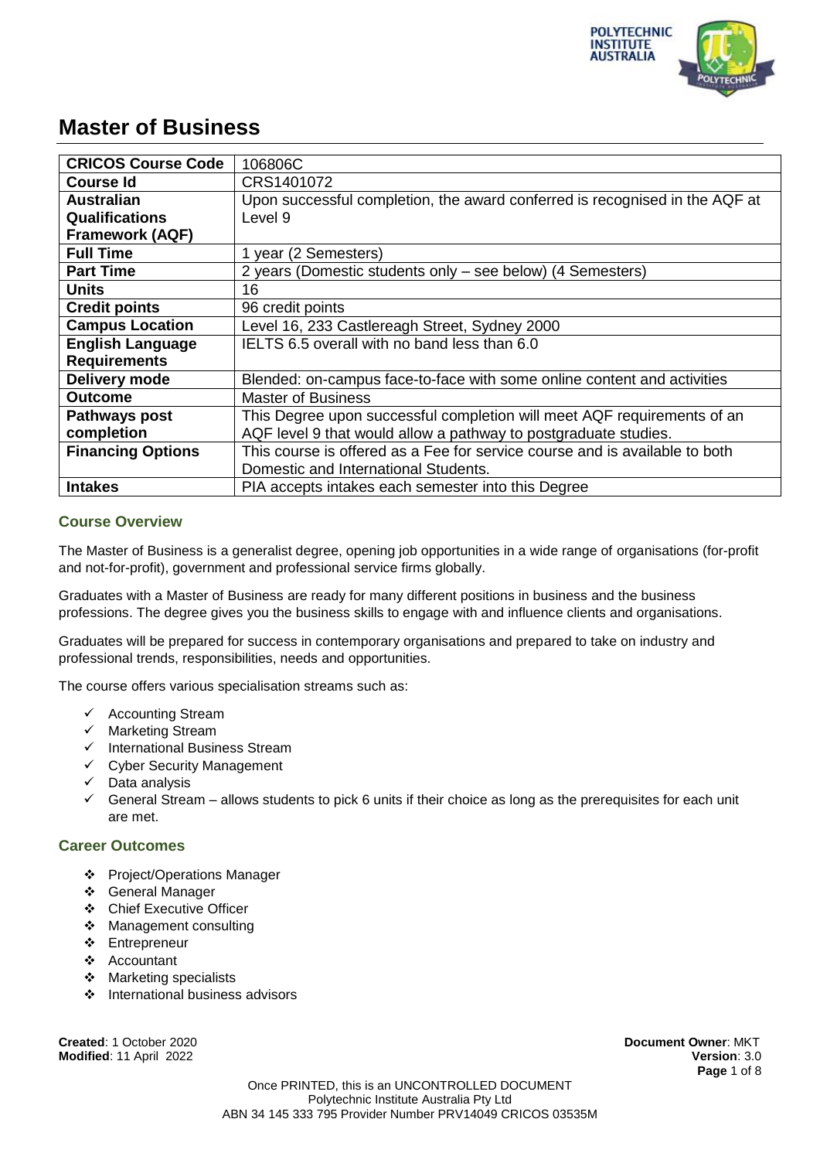

| <b>CRICOS Course Code</b> | 106806C                                                                     |
|---------------------------|-----------------------------------------------------------------------------|
| <b>Course Id</b>          | CRS1401072                                                                  |
| <b>Australian</b>         | Upon successful completion, the award conferred is recognised in the AQF at |
| <b>Qualifications</b>     | Level 9                                                                     |
| <b>Framework (AQF)</b>    |                                                                             |
| <b>Full Time</b>          | 1 year (2 Semesters)                                                        |
| <b>Part Time</b>          | 2 years (Domestic students only – see below) (4 Semesters)                  |
| <b>Units</b>              | 16                                                                          |
| <b>Credit points</b>      | 96 credit points                                                            |
| <b>Campus Location</b>    | Level 16, 233 Castlereagh Street, Sydney 2000                               |
| <b>English Language</b>   | IELTS 6.5 overall with no band less than 6.0                                |
| <b>Requirements</b>       |                                                                             |
| Delivery mode             | Blended: on-campus face-to-face with some online content and activities     |
| <b>Outcome</b>            | <b>Master of Business</b>                                                   |
| Pathways post             | This Degree upon successful completion will meet AQF requirements of an     |
| completion                | AQF level 9 that would allow a pathway to postgraduate studies.             |
| <b>Financing Options</b>  | This course is offered as a Fee for service course and is available to both |
|                           | Domestic and International Students.                                        |
| <b>Intakes</b>            | PIA accepts intakes each semester into this Degree                          |

#### **Course Overview**

The Master of Business is a generalist degree, opening job opportunities in a wide range of organisations (for-profit and not-for-profit), government and professional service firms globally.

Graduates with a Master of Business are ready for many different positions in business and the business professions. The degree gives you the business skills to engage with and influence clients and organisations.

Graduates will be prepared for success in contemporary organisations and prepared to take on industry and professional trends, responsibilities, needs and opportunities.

The course offers various specialisation streams such as:

- $\checkmark$  Accounting Stream
- $\checkmark$  Marketing Stream
- $\checkmark$  International Business Stream
- $\checkmark$  Cyber Security Management
- $\checkmark$  Data analysis
- $\checkmark$  General Stream allows students to pick 6 units if their choice as long as the prerequisites for each unit are met.

#### **Career Outcomes**

- Project/Operations Manager
- General Manager
- Chief Executive Officer
- Management consulting
- ❖ Entrepreneur
- Accountant
- Marketing specialists
- International business advisors

**Created**: 1 October 2020 **Document Owner**: MKT **Modified**: 11 April 2022 **Version**: 3.0

**Page** 1 of 8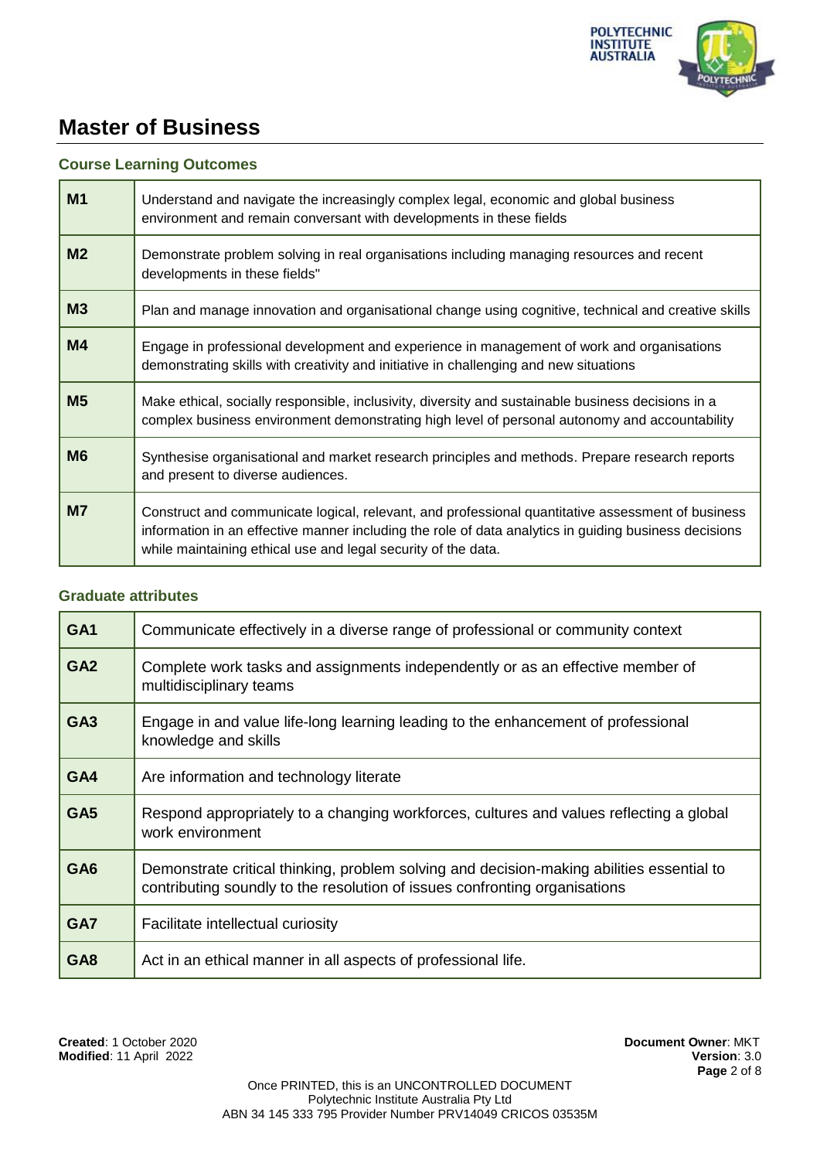

#### **Course Learning Outcomes**

| M <sub>1</sub> | Understand and navigate the increasingly complex legal, economic and global business<br>environment and remain conversant with developments in these fields                                                                                                                 |
|----------------|-----------------------------------------------------------------------------------------------------------------------------------------------------------------------------------------------------------------------------------------------------------------------------|
| M <sub>2</sub> | Demonstrate problem solving in real organisations including managing resources and recent<br>developments in these fields"                                                                                                                                                  |
| M <sub>3</sub> | Plan and manage innovation and organisational change using cognitive, technical and creative skills                                                                                                                                                                         |
| M4             | Engage in professional development and experience in management of work and organisations<br>demonstrating skills with creativity and initiative in challenging and new situations                                                                                          |
| M <sub>5</sub> | Make ethical, socially responsible, inclusivity, diversity and sustainable business decisions in a<br>complex business environment demonstrating high level of personal autonomy and accountability                                                                         |
| <b>M6</b>      | Synthesise organisational and market research principles and methods. Prepare research reports<br>and present to diverse audiences.                                                                                                                                         |
| M <sub>7</sub> | Construct and communicate logical, relevant, and professional quantitative assessment of business<br>information in an effective manner including the role of data analytics in guiding business decisions<br>while maintaining ethical use and legal security of the data. |

#### **Graduate attributes**

| GA <sub>1</sub> | Communicate effectively in a diverse range of professional or community context                                                                                         |
|-----------------|-------------------------------------------------------------------------------------------------------------------------------------------------------------------------|
| GA <sub>2</sub> | Complete work tasks and assignments independently or as an effective member of<br>multidisciplinary teams                                                               |
| GA <sub>3</sub> | Engage in and value life-long learning leading to the enhancement of professional<br>knowledge and skills                                                               |
| GA4             | Are information and technology literate                                                                                                                                 |
| GA <sub>5</sub> | Respond appropriately to a changing workforces, cultures and values reflecting a global<br>work environment                                                             |
| GA <sub>6</sub> | Demonstrate critical thinking, problem solving and decision-making abilities essential to<br>contributing soundly to the resolution of issues confronting organisations |
| GA7             | Facilitate intellectual curiosity                                                                                                                                       |
| GA <sub>8</sub> | Act in an ethical manner in all aspects of professional life.                                                                                                           |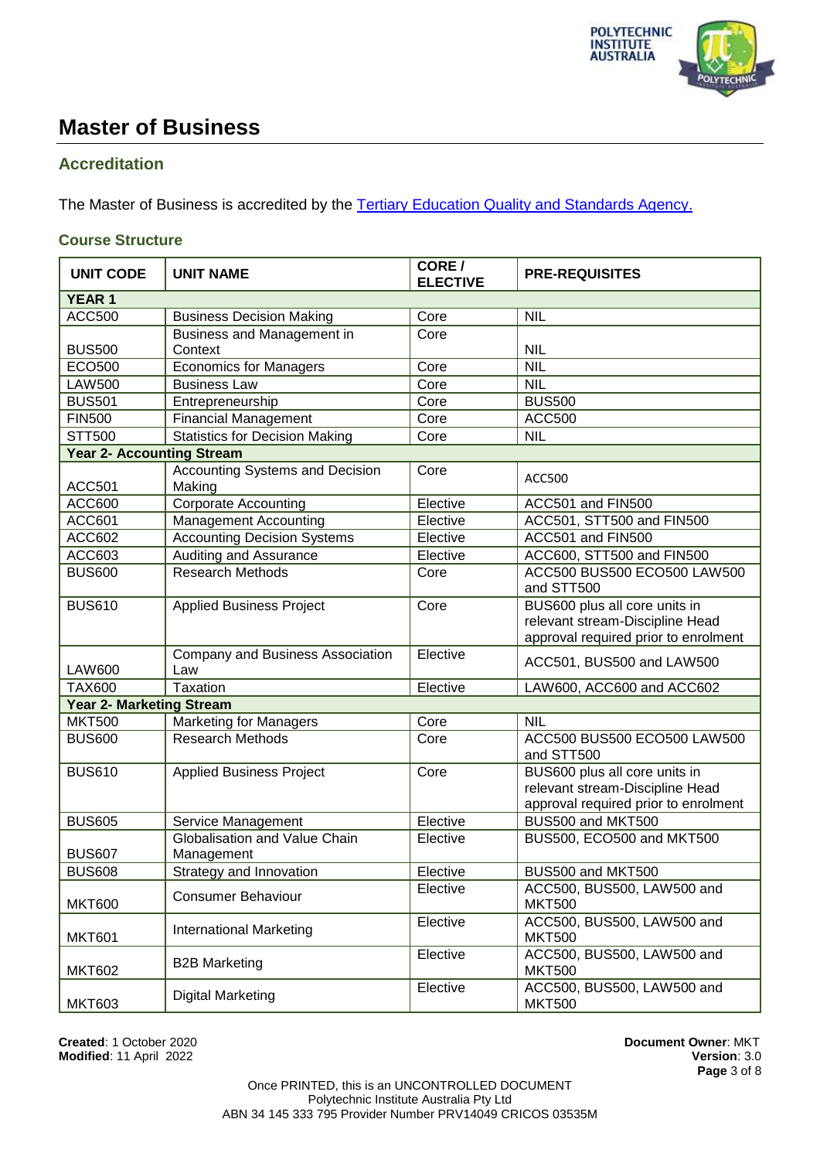

## **Accreditation**

The Master of Business is accredited by the [Tertiary Education Quality and Standards Agency.](https://www.teqsa.gov.au/national-register/course/polytechnic-institute-australia-pty-ltd-6)

## **Course Structure**

| <b>UNIT CODE</b>                 | <b>UNIT NAME</b>                                 | CORE /<br><b>ELECTIVE</b> | <b>PRE-REQUISITES</b>                                                                                    |
|----------------------------------|--------------------------------------------------|---------------------------|----------------------------------------------------------------------------------------------------------|
| <b>YEAR 1</b>                    |                                                  |                           |                                                                                                          |
| <b>ACC500</b>                    | <b>Business Decision Making</b>                  | Core                      | <b>NIL</b>                                                                                               |
|                                  | Business and Management in                       | Core                      |                                                                                                          |
| <b>BUS500</b>                    | Context                                          |                           | <b>NIL</b>                                                                                               |
| <b>ECO500</b>                    | <b>Economics for Managers</b>                    | Core                      | <b>NIL</b>                                                                                               |
| <b>LAW500</b>                    | <b>Business Law</b>                              | Core                      | <b>NIL</b>                                                                                               |
| <b>BUS501</b>                    | Entrepreneurship                                 | Core                      | <b>BUS500</b>                                                                                            |
| <b>FIN500</b>                    | <b>Financial Management</b>                      | Core                      | <b>ACC500</b>                                                                                            |
| <b>STT500</b>                    | <b>Statistics for Decision Making</b>            | Core                      | <b>NIL</b>                                                                                               |
| <b>Year 2- Accounting Stream</b> |                                                  |                           |                                                                                                          |
| <b>ACC501</b>                    | <b>Accounting Systems and Decision</b><br>Making | Core                      | <b>ACC500</b>                                                                                            |
| <b>ACC600</b>                    | <b>Corporate Accounting</b>                      | Elective                  | ACC501 and FIN500                                                                                        |
| ACC601                           | <b>Management Accounting</b>                     | Elective                  | ACC501, STT500 and FIN500                                                                                |
| <b>ACC602</b>                    | <b>Accounting Decision Systems</b>               | Elective                  | ACC501 and FIN500                                                                                        |
| ACC603                           | <b>Auditing and Assurance</b>                    | Elective                  | ACC600, STT500 and FIN500                                                                                |
| <b>BUS600</b>                    | <b>Research Methods</b>                          | Core                      | ACC500 BUS500 ECO500 LAW500<br>and STT500                                                                |
| <b>BUS610</b>                    | <b>Applied Business Project</b>                  | Core                      | BUS600 plus all core units in<br>relevant stream-Discipline Head<br>approval required prior to enrolment |
| <b>LAW600</b>                    | Company and Business Association<br>Law          | Elective                  | ACC501, BUS500 and LAW500                                                                                |
| <b>TAX600</b>                    | Taxation                                         | Elective                  | LAW600, ACC600 and ACC602                                                                                |
| <b>Year 2- Marketing Stream</b>  |                                                  |                           |                                                                                                          |
| <b>MKT500</b>                    | <b>Marketing for Managers</b>                    | Core                      | <b>NIL</b>                                                                                               |
| <b>BUS600</b>                    | <b>Research Methods</b>                          | Core                      | ACC500 BUS500 ECO500 LAW500<br>and STT500                                                                |
| <b>BUS610</b>                    | <b>Applied Business Project</b>                  | Core                      | BUS600 plus all core units in<br>relevant stream-Discipline Head<br>approval required prior to enrolment |
| <b>BUS605</b>                    | Service Management                               | Elective                  | BUS500 and MKT500                                                                                        |
| <b>BUS607</b>                    | Globalisation and Value Chain<br>Management      | Elective                  | BUS500, ECO500 and MKT500                                                                                |
| <b>BUS608</b>                    | Strategy and Innovation                          | Elective                  | BUS500 and MKT500                                                                                        |
| <b>MKT600</b>                    | <b>Consumer Behaviour</b>                        | Elective                  | ACC500, BUS500, LAW500 and<br><b>MKT500</b>                                                              |
| <b>MKT601</b>                    | <b>International Marketing</b>                   | Elective                  | ACC500, BUS500, LAW500 and<br><b>MKT500</b>                                                              |
| <b>MKT602</b>                    | <b>B2B Marketing</b>                             | Elective                  | ACC500, BUS500, LAW500 and<br><b>MKT500</b>                                                              |
| <b>MKT603</b>                    | <b>Digital Marketing</b>                         | Elective                  | ACC500, BUS500, LAW500 and<br><b>MKT500</b>                                                              |

**Created**: 1 October 2020 **Document Owner**: MKT **Modified: 11 April 2022** 

**Page** 3 of 8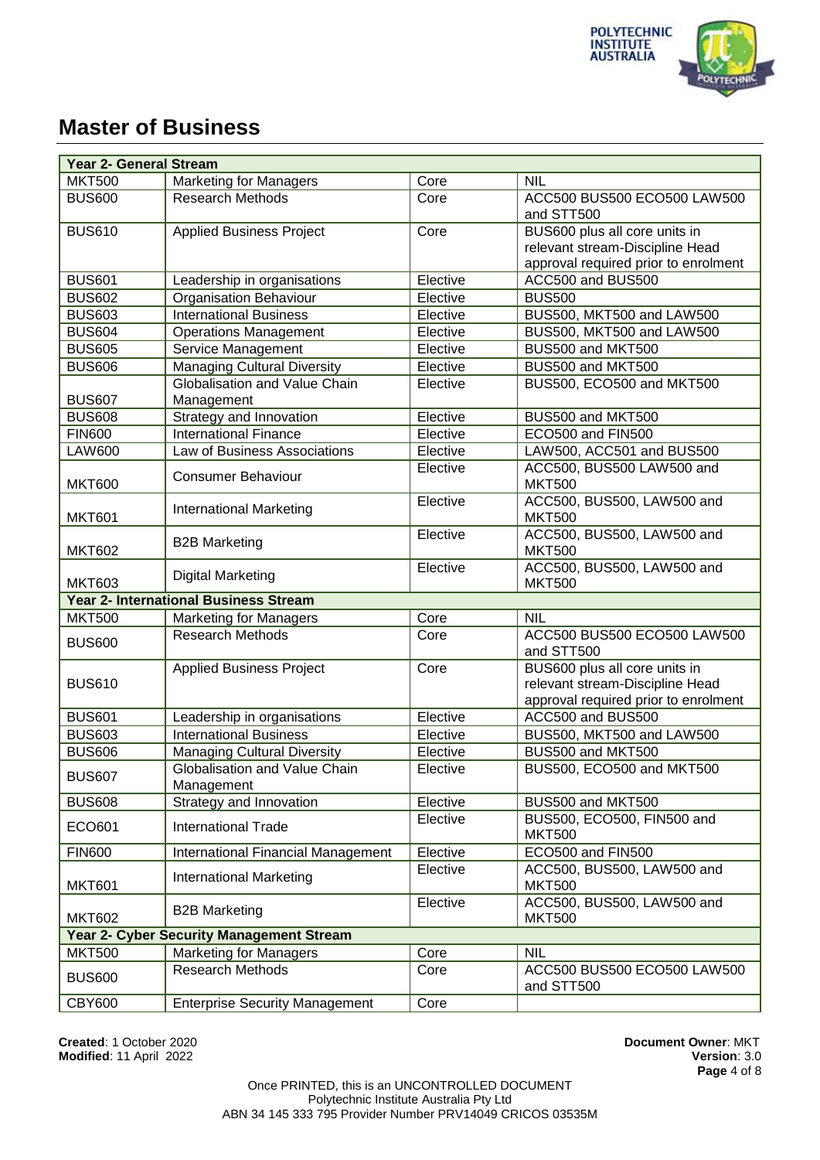

| <b>Year 2- General Stream</b> |                                                 |          |                                                                                                          |  |
|-------------------------------|-------------------------------------------------|----------|----------------------------------------------------------------------------------------------------------|--|
| <b>MKT500</b>                 | <b>Marketing for Managers</b>                   | Core     | <b>NIL</b>                                                                                               |  |
| <b>BUS600</b>                 | <b>Research Methods</b>                         | Core     | ACC500 BUS500 ECO500 LAW500<br>and STT500                                                                |  |
| <b>BUS610</b>                 | <b>Applied Business Project</b>                 | Core     | BUS600 plus all core units in<br>relevant stream-Discipline Head<br>approval required prior to enrolment |  |
| <b>BUS601</b>                 | Leadership in organisations                     | Elective | ACC500 and BUS500                                                                                        |  |
| <b>BUS602</b>                 | <b>Organisation Behaviour</b>                   | Elective | <b>BUS500</b>                                                                                            |  |
| <b>BUS603</b>                 | <b>International Business</b>                   | Elective | BUS500, MKT500 and LAW500                                                                                |  |
| <b>BUS604</b>                 | <b>Operations Management</b>                    | Elective | BUS500, MKT500 and LAW500                                                                                |  |
| <b>BUS605</b>                 | Service Management                              | Elective | BUS500 and MKT500                                                                                        |  |
| <b>BUS606</b>                 | <b>Managing Cultural Diversity</b>              | Elective | BUS500 and MKT500                                                                                        |  |
| <b>BUS607</b>                 | Globalisation and Value Chain<br>Management     | Elective | BUS500, ECO500 and MKT500                                                                                |  |
| <b>BUS608</b>                 | Strategy and Innovation                         | Elective | BUS500 and MKT500                                                                                        |  |
| <b>FIN600</b>                 | <b>International Finance</b>                    | Elective | ECO500 and FIN500                                                                                        |  |
| <b>LAW600</b>                 | Law of Business Associations                    | Elective | LAW500, ACC501 and BUS500                                                                                |  |
| <b>MKT600</b>                 | <b>Consumer Behaviour</b>                       | Elective | ACC500, BUS500 LAW500 and<br><b>MKT500</b>                                                               |  |
| <b>MKT601</b>                 | <b>International Marketing</b>                  | Elective | ACC500, BUS500, LAW500 and<br><b>MKT500</b>                                                              |  |
| <b>MKT602</b>                 | <b>B2B Marketing</b>                            | Elective | ACC500, BUS500, LAW500 and<br><b>MKT500</b>                                                              |  |
| <b>MKT603</b>                 | <b>Digital Marketing</b>                        | Elective | ACC500, BUS500, LAW500 and<br><b>MKT500</b>                                                              |  |
|                               | <b>Year 2- International Business Stream</b>    |          |                                                                                                          |  |
| <b>MKT500</b>                 | <b>Marketing for Managers</b>                   | Core     | <b>NIL</b>                                                                                               |  |
| <b>BUS600</b>                 | <b>Research Methods</b>                         | Core     | ACC500 BUS500 ECO500 LAW500<br>and STT500                                                                |  |
| <b>BUS610</b>                 | <b>Applied Business Project</b>                 | Core     | BUS600 plus all core units in<br>relevant stream-Discipline Head<br>approval required prior to enrolment |  |
| <b>BUS601</b>                 | Leadership in organisations                     | Elective | ACC500 and BUS500                                                                                        |  |
| <b>BUS603</b>                 | <b>International Business</b>                   | Elective | BUS500, MKT500 and LAW500                                                                                |  |
| <b>BUS606</b>                 | <b>Managing Cultural Diversity</b>              | Elective | BUS500 and MKT500                                                                                        |  |
| <b>BUS607</b>                 | Globalisation and Value Chain<br>Management     | Elective | BUS500, ECO500 and MKT500                                                                                |  |
| <b>BUS608</b>                 | Strategy and Innovation                         | Elective | BUS500 and MKT500                                                                                        |  |
| ECO601                        | International Trade                             | Elective | BUS500, ECO500, FIN500 and<br><b>MKT500</b>                                                              |  |
| <b>FIN600</b>                 | International Financial Management              | Elective | ECO500 and FIN500                                                                                        |  |
| <b>MKT601</b>                 | <b>International Marketing</b>                  | Elective | ACC500, BUS500, LAW500 and<br><b>MKT500</b>                                                              |  |
| <b>MKT602</b>                 | <b>B2B Marketing</b>                            | Elective | ACC500, BUS500, LAW500 and<br><b>MKT500</b>                                                              |  |
|                               | <b>Year 2- Cyber Security Management Stream</b> |          |                                                                                                          |  |
| <b>MKT500</b>                 | <b>Marketing for Managers</b>                   | Core     | <b>NIL</b>                                                                                               |  |
| <b>BUS600</b>                 | <b>Research Methods</b>                         | Core     | ACC500 BUS500 ECO500 LAW500<br>and STT500                                                                |  |
| <b>CBY600</b>                 | <b>Enterprise Security Management</b>           | Core     |                                                                                                          |  |

**Created**: 1 October 2020 **Document Owner**: MKT **Modified: 11 April 2022** 

**Page** 4 of 8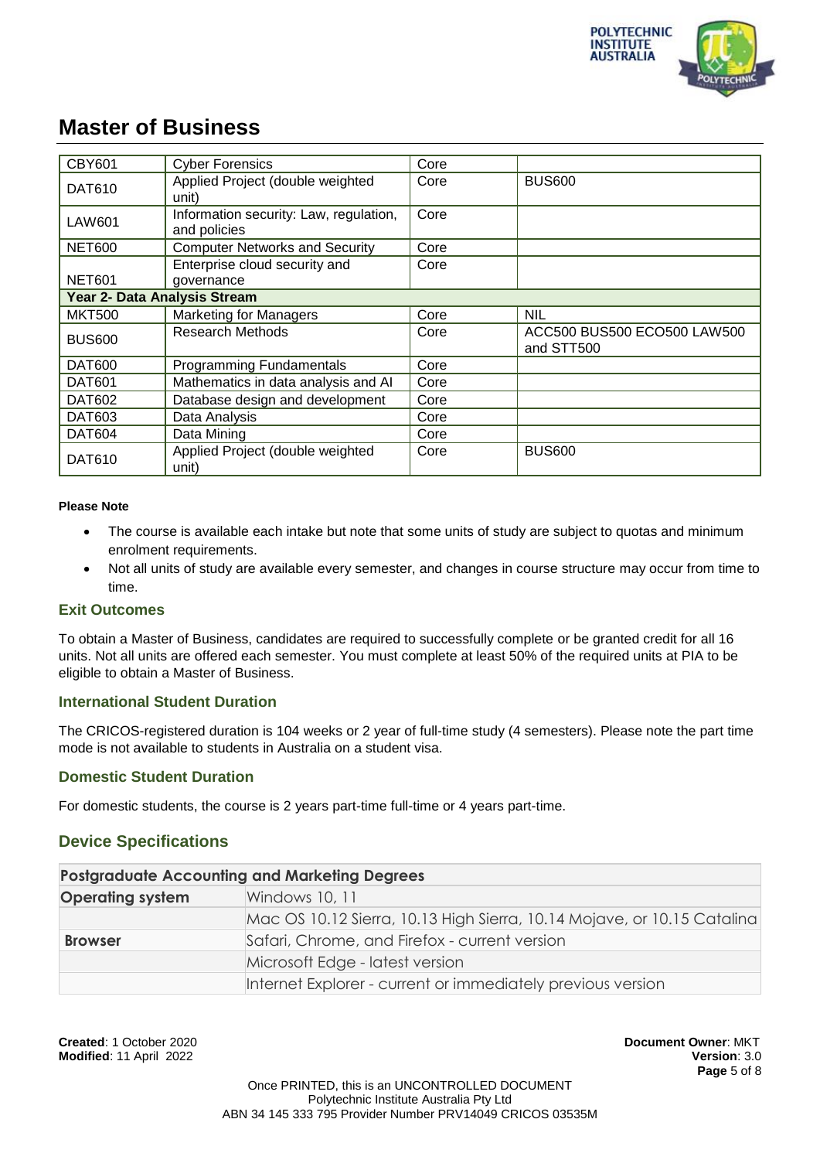

| <b>CBY601</b>                | <b>Cyber Forensics</b>                                 | Core |                                           |
|------------------------------|--------------------------------------------------------|------|-------------------------------------------|
| <b>DAT610</b>                | Applied Project (double weighted<br>unit)              | Core | <b>BUS600</b>                             |
| LAW601                       | Information security: Law, regulation,<br>and policies | Core |                                           |
| <b>NET600</b>                | <b>Computer Networks and Security</b>                  | Core |                                           |
| <b>NET601</b>                | Enterprise cloud security and<br>governance            | Core |                                           |
| Year 2- Data Analysis Stream |                                                        |      |                                           |
| <b>MKT500</b>                | <b>Marketing for Managers</b>                          | Core | <b>NIL</b>                                |
| <b>BUS600</b>                | <b>Research Methods</b>                                | Core | ACC500 BUS500 ECO500 LAW500<br>and STT500 |
| <b>DAT600</b>                | <b>Programming Fundamentals</b>                        | Core |                                           |
| <b>DAT601</b>                | Mathematics in data analysis and Al                    | Core |                                           |
| <b>DAT602</b>                | Database design and development                        | Core |                                           |
| DAT603                       | Data Analysis                                          | Core |                                           |
| <b>DAT604</b>                | Data Mining                                            | Core |                                           |
| DAT610                       | Applied Project (double weighted<br>unit)              | Core | <b>BUS600</b>                             |

#### **Please Note**

- The course is available each intake but note that some units of study are subject to quotas and minimum enrolment requirements.
- Not all units of study are available every semester, and changes in course structure may occur from time to time.

#### **Exit Outcomes**

To obtain a Master of Business, candidates are required to successfully complete or be granted credit for all 16 units. Not all units are offered each semester. You must complete at least 50% of the required units at PIA to be eligible to obtain a Master of Business.

#### **International Student Duration**

The CRICOS-registered duration is 104 weeks or 2 year of full-time study (4 semesters). Please note the part time mode is not available to students in Australia on a student visa.

#### **Domestic Student Duration**

For domestic students, the course is 2 years part-time full-time or 4 years part-time.

### **Device Specifications**

#### **Postgraduate Accounting and Marketing Degrees**

| <b>Operating system</b> | Windows 10, 11                                                          |
|-------------------------|-------------------------------------------------------------------------|
|                         | Mac OS 10.12 Sierra, 10.13 High Sierra, 10.14 Mojave, or 10.15 Catalina |
| <b>Browser</b>          | Safari, Chrome, and Firefox - current version                           |
|                         | Microsoft Edge - latest version                                         |
|                         | Internet Explorer - current or immediately previous version             |

**Created**: 1 October 2020 **Document Owner**: MKT **Modified**: 11 April 2022 **Version**: 3.0

**Page** 5 of 8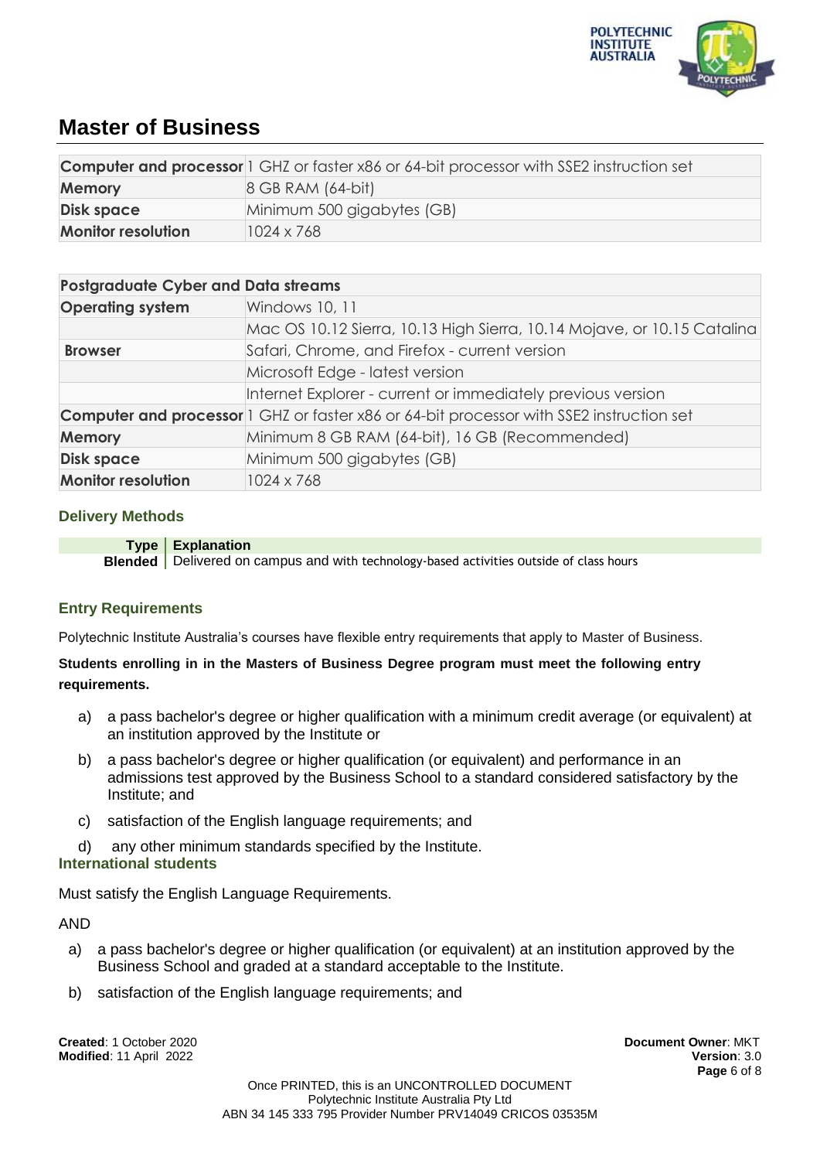

|                                            | <b>Computer and processor</b> 1 GHZ or faster x86 or 64-bit processor with SSE2 instruction set |
|--------------------------------------------|-------------------------------------------------------------------------------------------------|
| <b>Memory</b>                              | 8 GB RAM (64-bit)                                                                               |
| <b>Disk space</b>                          | Minimum 500 gigabytes (GB)                                                                      |
| <b>Monitor resolution</b>                  | 1024 x 768                                                                                      |
|                                            |                                                                                                 |
| <b>Postgraduate Cyber and Data streams</b> |                                                                                                 |
| <b>Operating system</b>                    | Windows 10, 11                                                                                  |
|                                            | Mac OS 10.12 Sierra, 10.13 High Sierra, 10.14 Mojave, or 10.15 Catalina                         |
| <b>Browser</b>                             | Safari, Chrome, and Firefox - current version                                                   |
|                                            | Microsoft Edge - latest version                                                                 |
|                                            | Internet Explorer - current or immediately previous version                                     |
|                                            | <b>Computer and processor</b> 1 GHZ or faster x86 or 64-bit processor with SSE2 instruction set |
| <b>Memory</b>                              | Minimum 8 GB RAM (64-bit), 16 GB (Recommended)                                                  |

### **Delivery Methods**

| Type   Explanation                                                                             |
|------------------------------------------------------------------------------------------------|
| <b>Blended</b> Delivered on campus and with technology-based activities outside of class hours |

## **Entry Requirements**

Polytechnic Institute Australia's courses have flexible entry requirements that apply to Master of Business.

### **Students enrolling in in the Masters of Business Degree program must meet the following entry requirements.**

- a) a pass bachelor's degree or higher qualification with a minimum credit average (or equivalent) at an institution approved by the Institute or
- b) a pass bachelor's degree or higher qualification (or equivalent) and performance in an admissions test approved by the Business School to a standard considered satisfactory by the Institute; and
- c) satisfaction of the English language requirements; and

**Disk space** Minimum 500 gigabytes (GB)

**Monitor resolution** 1024 x 768

d) any other minimum standards specified by the Institute.

### **International students**

Must satisfy the English Language Requirements.

AND

- a) a pass bachelor's degree or higher qualification (or equivalent) at an institution approved by the Business School and graded at a standard acceptable to the Institute.
- b) satisfaction of the English language requirements; and

**Created**: 1 October 2020 **Document Owner**: MKT **Modified**: 11 April 2022 **Version**: 3.0

**Page** 6 of 8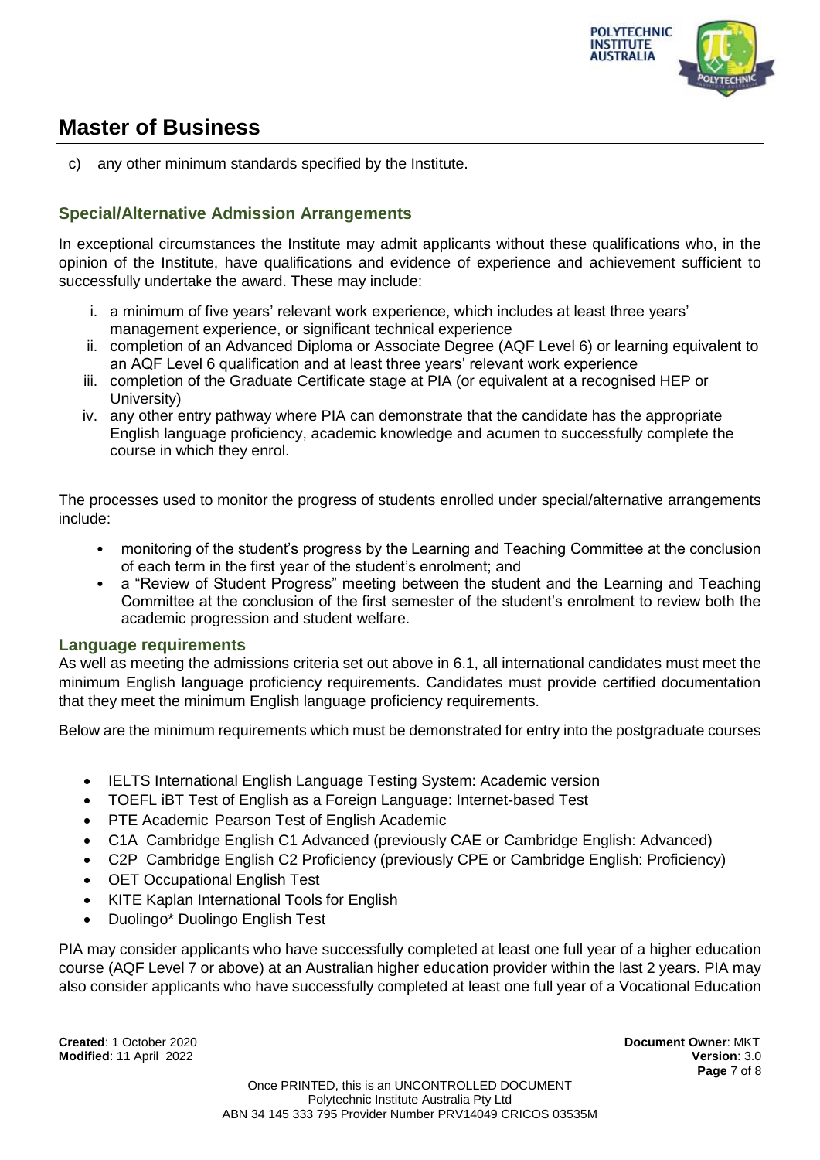

c) any other minimum standards specified by the Institute.

## **Special/Alternative Admission Arrangements**

In exceptional circumstances the Institute may admit applicants without these qualifications who, in the opinion of the Institute, have qualifications and evidence of experience and achievement sufficient to successfully undertake the award. These may include:

- i. a minimum of five years' relevant work experience, which includes at least three years' management experience, or significant technical experience
- ii. completion of an Advanced Diploma or Associate Degree (AQF Level 6) or learning equivalent to an AQF Level 6 qualification and at least three years' relevant work experience
- iii. completion of the Graduate Certificate stage at PIA (or equivalent at a recognised HEP or University)
- iv. any other entry pathway where PIA can demonstrate that the candidate has the appropriate English language proficiency, academic knowledge and acumen to successfully complete the course in which they enrol.

The processes used to monitor the progress of students enrolled under special/alternative arrangements include:

- monitoring of the student's progress by the Learning and Teaching Committee at the conclusion of each term in the first year of the student's enrolment; and
- a "Review of Student Progress" meeting between the student and the Learning and Teaching Committee at the conclusion of the first semester of the student's enrolment to review both the academic progression and student welfare.

### **Language requirements**

As well as meeting the admissions criteria set out above in 6.1, all international candidates must meet the minimum English language proficiency requirements. Candidates must provide certified documentation that they meet the minimum English language proficiency requirements.

Below are the minimum requirements which must be demonstrated for entry into the postgraduate courses

- IELTS International English Language Testing System: Academic version
- TOEFL iBT Test of English as a Foreign Language: Internet-based Test
- PTE Academic Pearson Test of English Academic
- C1A Cambridge English C1 Advanced (previously CAE or Cambridge English: Advanced)
- C2P Cambridge English C2 Proficiency (previously CPE or Cambridge English: Proficiency)
- OET Occupational English Test
- KITE Kaplan International Tools for English
- Duolingo\* Duolingo English Test

PIA may consider applicants who have successfully completed at least one full year of a higher education course (AQF Level 7 or above) at an Australian higher education provider within the last 2 years. PIA may also consider applicants who have successfully completed at least one full year of a Vocational Education

**Created**: 1 October 2020 **Document Owner**: MKT **Modified**: 11 April 2022 **Version**: 3.0

**Page** 7 of 8